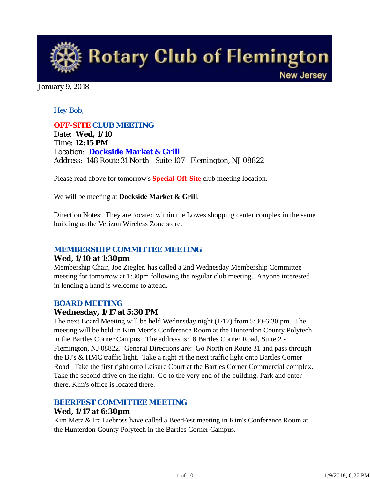

#### January 9, 2018

### *Hey Bob,*

*OFF-SITE CLUB MEETING Date: Wed, 1/10 Time: 12:15 PM Location: Dockside Market & Grill Address: 148 Route 31 North - Suite 107 - Flemington, NJ 08822*

Please read above for tomorrow's **Special Off-Site** club meeting location.

We will be meeting at **Dockside Market & Grill**.

Direction Notes: They are located within the Lowes shopping center complex in the same building as the Verizon Wireless Zone store.

#### *MEMBERSHIP COMMITTEE MEETING*

#### **Wed, 1/10 at 1:30pm**

Membership Chair, Joe Ziegler, has called a 2nd Wednesday Membership Committee meeting for tomorrow at 1:30pm following the regular club meeting. Anyone interested in lending a hand is welcome to attend.

#### *BOARD MEETING*

#### **Wednesday, 1/17 at 5:30 PM**

The next Board Meeting will be held Wednesday night (1/17) from 5:30-6:30 pm. The meeting will be held in Kim Metz's Conference Room at the Hunterdon County Polytech in the Bartles Corner Campus. The address is: 8 Bartles Corner Road, Suite 2 - Flemington, NJ 08822. General Directions are: Go North on Route 31 and pass through the BJ's & HMC traffic light. Take a right at the next traffic light onto Bartles Corner Road. Take the first right onto Leisure Court at the Bartles Corner Commercial complex. Take the second drive on the right. Go to the very end of the building. Park and enter there. Kim's office is located there.

### *BEERFEST COMMITTEE MEETING*

#### **Wed, 1/17 at 6:30pm**

Kim Metz & Ira Liebross have called a BeerFest meeting in Kim's Conference Room at the Hunterdon County Polytech in the Bartles Corner Campus.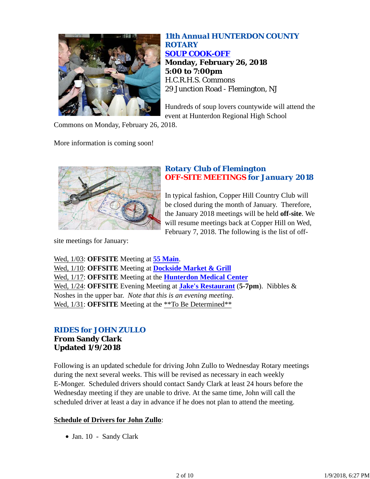

*11th Annual HUNTERDON COUNTY ROTARY SOUP COOK-OFF* **Monday, February 26, 2018 5:00 to 7:00pm** H.C.R.H.S. Commons 29 Junction Road - Flemington, NJ

Hundreds of soup lovers countywide will attend the event at Hunterdon Regional High School

Commons on Monday, February 26, 2018.

More information is coming soon!



## *Rotary Club of Flemington OFF-SITE MEETINGS for January 2018*

In typical fashion, Copper Hill Country Club will be closed during the month of January. Therefore, the January 2018 meetings will be held **off-site**. We will resume meetings back at Copper Hill on Wed, February 7, 2018. The following is the list of off-

site meetings for January:

Wed, 1/03: **OFFSITE** Meeting at **55 Main**. Wed, 1/10: **OFFSITE** Meeting at **Dockside Market & Grill** Wed, 1/17: **OFFSITE** Meeting at the **Hunterdon Medical Center** Wed, 1/24: **OFFSITE** Evening Meeting at **Jake's Restaurant** (**5-7pm**). Nibbles & Noshes in the upper bar. *Note that this is an evening meeting*. Wed,  $1/31$ : **OFFSITE** Meeting at the \*\*To Be Determined\*\*

# *RIDES for JOHN ZULLO*

# **From Sandy Clark Updated 1/9/2018**

Following is an updated schedule for driving John Zullo to Wednesday Rotary meetings during the next several weeks. This will be revised as necessary in each weekly E-Monger. Scheduled drivers should contact Sandy Clark at least 24 hours before the Wednesday meeting if they are unable to drive. At the same time, John will call the scheduled driver at least a day in advance if he does not plan to attend the meeting.

### **Schedule of Drivers for John Zullo**:

Jan. 10 - Sandy Clark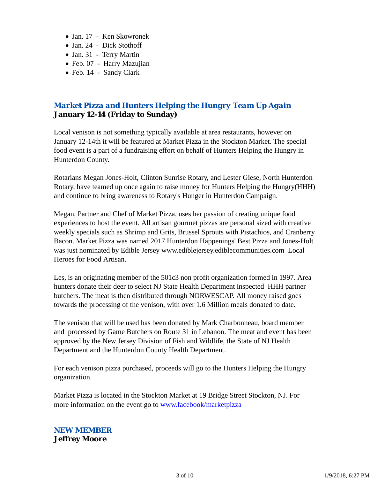- Jan. 17 Ken Skowronek
- Jan. 24 Dick Stothoff
- Jan. 31 Terry Martin
- Feb. 07 Harry Mazujian
- Feb. 14 Sandy Clark

# *Market Pizza and Hunters Helping the Hungry Team Up Again* **January 12-14 (Friday to Sunday)**

Local venison is not something typically available at area restaurants, however on January 12-14th it will be featured at Market Pizza in the Stockton Market. The special food event is a part of a fundraising effort on behalf of Hunters Helping the Hungry in Hunterdon County.

Rotarians Megan Jones-Holt, Clinton Sunrise Rotary, and Lester Giese, North Hunterdon Rotary, have teamed up once again to raise money for Hunters Helping the Hungry(HHH) and continue to bring awareness to Rotary's Hunger in Hunterdon Campaign.

Megan, Partner and Chef of Market Pizza, uses her passion of creating unique food experiences to host the event. All artisan gourmet pizzas are personal sized with creative weekly specials such as Shrimp and Grits, Brussel Sprouts with Pistachios, and Cranberry Bacon. Market Pizza was named 2017 Hunterdon Happenings' Best Pizza and Jones-Holt was just nominated by Edible Jersey www.ediblejersey.ediblecommunities.com Local Heroes for Food Artisan.

Les, is an originating member of the 501c3 non profit organization formed in 1997. Area hunters donate their deer to select NJ State Health Department inspected HHH partner butchers. The meat is then distributed through NORWESCAP. All money raised goes towards the processing of the venison, with over 1.6 Million meals donated to date.

The venison that will be used has been donated by Mark Charbonneau, board member and processed by Game Butchers on Route 31 in Lebanon. The meat and event has been approved by the New Jersey Division of Fish and Wildlife, the State of NJ Health Department and the Hunterdon County Health Department.

For each venison pizza purchased, proceeds will go to the Hunters Helping the Hungry organization.

Market Pizza is located in the Stockton Market at 19 Bridge Street Stockton, NJ. For more information on the event go to www.facebook/marketpizza

## *NEW MEMBER* **Jeffrey Moore**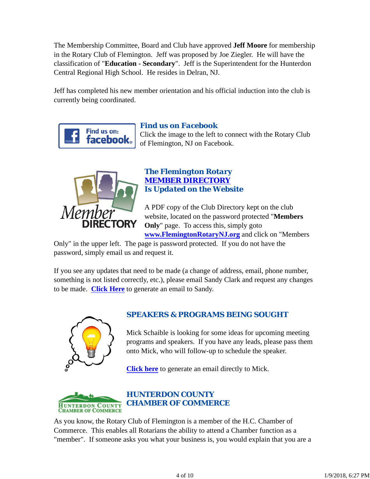The Membership Committee, Board and Club have approved **Jeff Moore** for membership in the Rotary Club of Flemington. Jeff was proposed by Joe Ziegler. He will have the classification of "**Education - Secondary**". Jeff is the Superintendent for the Hunterdon Central Regional High School. He resides in Delran, NJ.

Jeff has completed his new member orientation and his official induction into the club is currently being coordinated.



# *Find us on Facebook*

Click the image to the left to connect with the Rotary Club of Flemington, NJ on Facebook.



# *The Flemington Rotary MEMBER DIRECTORY Is Updated on the Website*

A PDF copy of the Club Directory kept on the club website, located on the password protected "**Members Only**" page. To access this, simply goto **www.FlemingtonRotaryNJ.org** and click on "Members

Only" in the upper left. The page is password protected. If you do not have the password, simply email us and request it.

If you see any updates that need to be made (a change of address, email, phone number, something is not listed correctly, etc.), please email Sandy Clark and request any changes to be made. **Click Here** to generate an email to Sandy.



# *SPEAKERS & PROGRAMS BEING SOUGHT*

Mick Schaible is looking for some ideas for upcoming meeting programs and speakers. If you have any leads, please pass them onto Mick, who will follow-up to schedule the speaker.

**Click here** to generate an email directly to Mick.



As you know, the Rotary Club of Flemington is a member of the H.C. Chamber of Commerce. This enables all Rotarians the ability to attend a Chamber function as a "member". If someone asks you what your business is, you would explain that you are a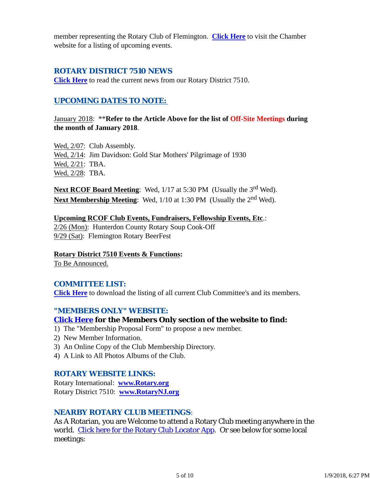member representing the Rotary Club of Flemington. **Click Here** to visit the Chamber website for a listing of upcoming events.

## *ROTARY DISTRICT 7510 NEWS*

**Click Here** to read the current news from our Rotary District 7510.

# *UPCOMING DATES TO NOTE:*

January 2018: \*\***Refer to the Article Above for the list of Off-Site Meetings during the month of January 2018**.

Wed, 2/07: Club Assembly. Wed, 2/14: Jim Davidson: Gold Star Mothers' Pilgrimage of 1930 Wed, 2/21: TBA. Wed, 2/28: TBA.

**Next RCOF Board Meeting:** Wed, 1/17 at 5:30 PM (Usually the 3<sup>rd</sup> Wed). **Next Membership Meeting:** Wed,  $1/10$  at 1:30 PM (Usually the 2<sup>nd</sup> Wed).

**Upcoming RCOF Club Events, Fundraisers, Fellowship Events, Etc**.: 2/26 (Mon): Hunterdon County Rotary Soup Cook-Off 9/29 (Sat): Flemington Rotary BeerFest

**Rotary District 7510 Events & Functions:** To Be Announced.

# *COMMITTEE LIST:*

**Click Here** to download the listing of all current Club Committee's and its members.

### *"MEMBERS ONLY" WEBSITE:*

#### **Click Here for the Members Only section of the website to find:**

- 1) The "Membership Proposal Form" to propose a new member.
- 2) New Member Information.
- 3) An Online Copy of the Club Membership Directory.
- 4) A Link to All Photos Albums of the Club.

### *ROTARY WEBSITE LINKS:*

Rotary International: **www.Rotary.org** Rotary District 7510: **www.RotaryNJ.org**

### *NEARBY ROTARY CLUB MEETINGS:*

As A Rotarian, you are Welcome to attend a Rotary Club meeting anywhere in the world. Click here for the Rotary Club Locator App. Or see below for some local meetings: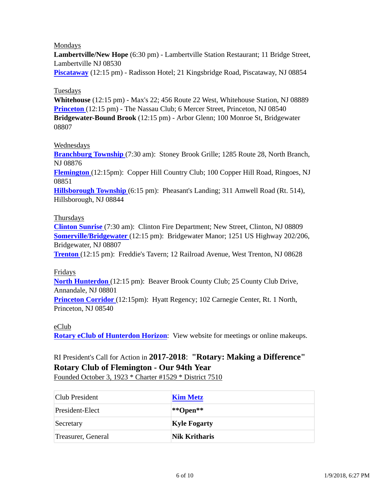### Mondays

**Lambertville/New Hope** (6:30 pm) - Lambertville Station Restaurant; 11 Bridge Street, Lambertville NJ 08530

**Piscataway** (12:15 pm) - Radisson Hotel; 21 Kingsbridge Road, Piscataway, NJ 08854

### Tuesdays

**Whitehouse** (12:15 pm) - Max's 22; 456 Route 22 West, Whitehouse Station, NJ 08889 **Princeton** (12:15 pm) - The Nassau Club; 6 Mercer Street, Princeton, NJ 08540 **Bridgewater-Bound Brook** (12:15 pm) - Arbor Glenn; 100 Monroe St, Bridgewater 08807

#### Wednesdays

**Branchburg Township** (7:30 am): Stoney Brook Grille; 1285 Route 28, North Branch, NJ 08876

**Flemington** (12:15pm): Copper Hill Country Club; 100 Copper Hill Road, Ringoes, NJ 08851

**Hillsborough Township** (6:15 pm): Pheasant's Landing; 311 Amwell Road (Rt. 514), Hillsborough, NJ 08844

#### Thursdays

**Clinton Sunrise** (7:30 am): Clinton Fire Department; New Street, Clinton, NJ 08809 **Somerville/Bridgewater** (12:15 pm): Bridgewater Manor; 1251 US Highway 202/206, Bridgewater, NJ 08807

**Trenton** (12:15 pm): Freddie's Tavern; 12 Railroad Avenue, West Trenton, NJ 08628

#### Fridays

**North Hunterdon** (12:15 pm): Beaver Brook County Club; 25 County Club Drive, Annandale, NJ 08801

**Princeton Corridor** (12:15pm): Hyatt Regency; 102 Carnegie Center, Rt. 1 North, Princeton, NJ 08540

#### eClub

**Rotary eClub of Hunterdon Horizon**: View website for meetings or online makeups.

# RI President's Call for Action in **2017-2018**: **"Rotary: Making a Difference" Rotary Club of Flemington - Our 94th Year**

Founded October 3, 1923 \* Charter #1529 \* District 7510

| Club President     | <b>Kim Metz</b>      |
|--------------------|----------------------|
| President-Elect    | $*$ *Open**          |
| Secretary          | <b>Kyle Fogarty</b>  |
| Treasurer, General | <b>Nik Kritharis</b> |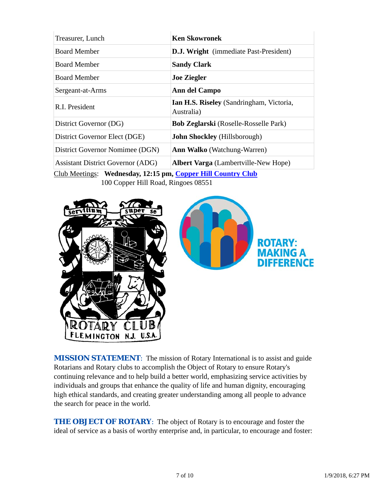| Treasurer, Lunch                         | <b>Ken Skowronek</b>                                   |
|------------------------------------------|--------------------------------------------------------|
| <b>Board Member</b>                      | <b>D.J. Wright</b> (immediate Past-President)          |
| <b>Board Member</b>                      | <b>Sandy Clark</b>                                     |
| <b>Board Member</b>                      | <b>Joe Ziegler</b>                                     |
| Sergeant-at-Arms                         | Ann del Campo                                          |
| R.I. President                           | Ian H.S. Riseley (Sandringham, Victoria,<br>Australia) |
| District Governor (DG)                   | Bob Zeglarski (Roselle-Rosselle Park)                  |
| District Governor Elect (DGE)            | John Shockley (Hillsborough)                           |
| District Governor Nomimee (DGN)          | <b>Ann Walko</b> (Watchung-Warren)                     |
| <b>Assistant District Governor (ADG)</b> | <b>Albert Varga</b> (Lambertville-New Hope)            |

Club Meetings: **Wednesday, 12:15 pm, Copper Hill Country Club** 100 Copper Hill Road, Ringoes 08551



**MISSION STATEMENT:** The mission of Rotary International is to assist and guide Rotarians and Rotary clubs to accomplish the Object of Rotary to ensure Rotary's continuing relevance and to help build a better world, emphasizing service activities by individuals and groups that enhance the quality of life and human dignity, encouraging high ethical standards, and creating greater understanding among all people to advance the search for peace in the world.

**THE OBJECT OF ROTARY:** The object of Rotary is to encourage and foster the ideal of service as a basis of worthy enterprise and, in particular, to encourage and foster: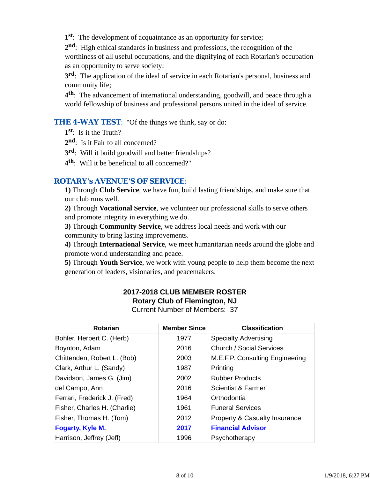**1st**: The development of acquaintance as an opportunity for service;

**2nd**: High ethical standards in business and professions, the recognition of the worthiness of all useful occupations, and the dignifying of each Rotarian's occupation as an opportunity to serve society;

**3rd**: The application of the ideal of service in each Rotarian's personal, business and community life;

**4th**: The advancement of international understanding, goodwill, and peace through a world fellowship of business and professional persons united in the ideal of service.

### **THE 4-WAY TEST:** "Of the things we think, say or do:

**1st**: Is it the Truth?

2<sup>nd</sup>: Is it Fair to all concerned?

**3rd**: Will it build goodwill and better friendships?

**4th**: Will it be beneficial to all concerned?"

## *ROTARY's AVENUE'S OF SERVICE*:

**1)** Through **Club Service**, we have fun, build lasting friendships, and make sure that our club runs well.

**2)** Through **Vocational Service**, we volunteer our professional skills to serve others and promote integrity in everything we do.

**3)** Through **Community Service**, we address local needs and work with our community to bring lasting improvements.

**4)** Through **International Service**, we meet humanitarian needs around the globe and promote world understanding and peace.

**5)** Through **Youth Service**, we work with young people to help them become the next generation of leaders, visionaries, and peacemakers.

# **2017-2018 CLUB MEMBER ROSTER Rotary Club of Flemington, NJ**

Current Number of Members: 37

| <b>Rotarian</b>              | <b>Member Since</b> | <b>Classification</b>                    |
|------------------------------|---------------------|------------------------------------------|
| Bohler, Herbert C. (Herb)    | 1977                | <b>Specialty Advertising</b>             |
| Boynton, Adam                | 2016                | <b>Church / Social Services</b>          |
| Chittenden, Robert L. (Bob)  | 2003                | M.E.F.P. Consulting Engineering          |
| Clark, Arthur L. (Sandy)     | 1987                | Printing                                 |
| Davidson, James G. (Jim)     | 2002                | <b>Rubber Products</b>                   |
| del Campo, Ann               | 2016                | Scientist & Farmer                       |
| Ferrari, Frederick J. (Fred) | 1964                | Orthodontia                              |
| Fisher, Charles H. (Charlie) | 1961                | <b>Funeral Services</b>                  |
| Fisher, Thomas H. (Tom)      | 2012                | <b>Property &amp; Casualty Insurance</b> |
| Fogarty, Kyle M.             | 2017                | <b>Financial Advisor</b>                 |
| Harrison, Jeffrey (Jeff)     | 1996                | Psychotherapy                            |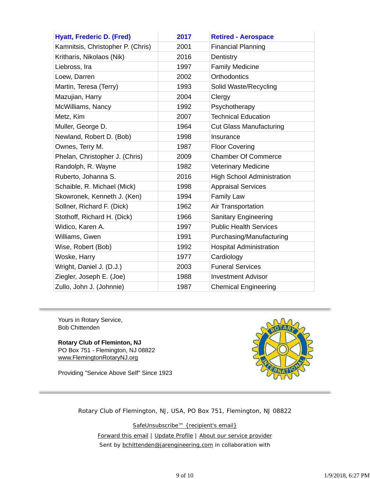| <b>Hyatt, Frederic D. (Fred)</b>  | 2017 | <b>Retired - Aerospace</b>        |
|-----------------------------------|------|-----------------------------------|
| Kamnitsis, Christopher P. (Chris) | 2001 | <b>Financial Planning</b>         |
| Kritharis, Nikolaos (Nik)         | 2016 | Dentistry                         |
| Liebross, Ira                     | 1997 | <b>Family Medicine</b>            |
| Loew, Darren                      | 2002 | Orthodontics                      |
| Martin, Teresa (Terry)            | 1993 | Solid Waste/Recycling             |
| Mazujian, Harry                   | 2004 | Clergy                            |
| McWilliams, Nancy                 | 1992 | Psychotherapy                     |
| Metz, Kim                         | 2007 | <b>Technical Education</b>        |
| Muller, George D.                 | 1964 | <b>Cut Glass Manufacturing</b>    |
| Newland, Robert D. (Bob)          | 1998 | Insurance                         |
| Ownes, Terry M.                   | 1987 | <b>Floor Covering</b>             |
| Phelan, Christopher J. (Chris)    | 2009 | <b>Chamber Of Commerce</b>        |
| Randolph, R. Wayne                | 1982 | <b>Veterinary Medicine</b>        |
| Ruberto, Johanna S.               | 2016 | <b>High School Administration</b> |
| Schaible, R. Michael (Mick)       | 1998 | <b>Appraisal Services</b>         |
| Skowronek, Kenneth J. (Ken)       | 1994 | <b>Family Law</b>                 |
| Sollner, Richard F. (Dick)        | 1962 | Air Transportation                |
| Stothoff, Richard H. (Dick)       | 1966 | <b>Sanitary Engineering</b>       |
| Widico, Karen A.                  | 1997 | <b>Public Health Services</b>     |
| Williams, Gwen                    | 1991 | Purchasing/Manufacturing          |
| Wise, Robert (Bob)                | 1992 | <b>Hospital Administration</b>    |
| Woske, Harry                      | 1977 | Cardiology                        |
| Wright, Daniel J. (D.J.)          | 2003 | <b>Funeral Services</b>           |
| Ziegler, Joseph E. (Joe)          | 1988 | <b>Investment Advisor</b>         |
| Zullo, John J. (Johnnie)          | 1987 | <b>Chemical Engineering</b>       |

Yours in Rotary Service, Bob Chittenden

**Rotary Club of Fleminton, NJ** PO Box 751 - Flemington, NJ 08822 www.FlemingtonRotaryNJ.org

Providing "Service Above Self" Since 1923



Rotary Club of Flemington, NJ, USA, PO Box 751, Flemington, NJ 08822

SafeUnsubscribe™ {recipient's email} Forward this email | Update Profile | About our service provider Sent by bchittenden@jarengineering.com in collaboration with